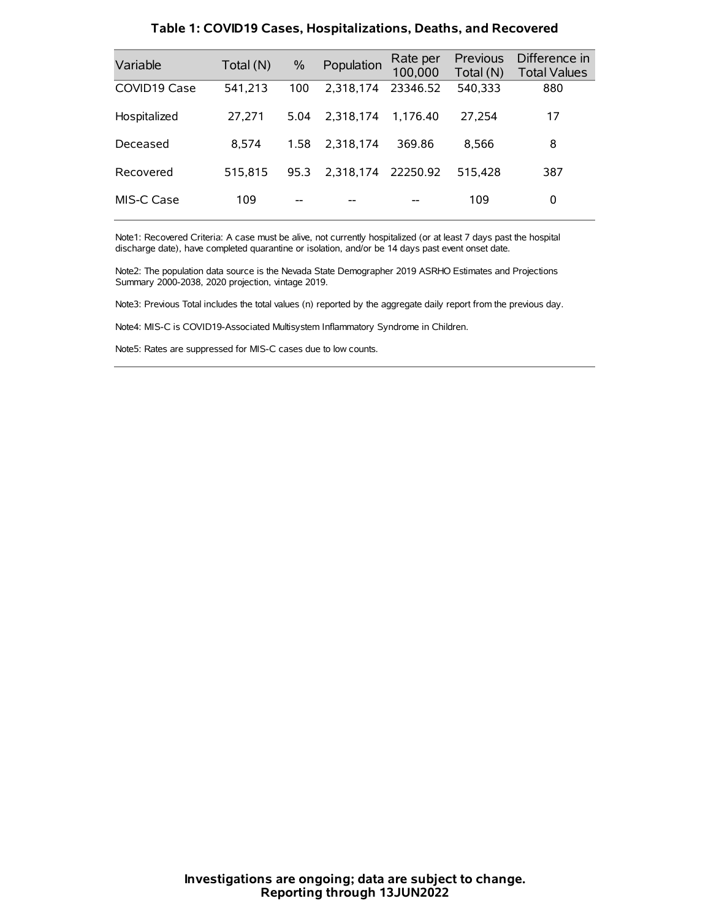| Variable     | Total (N) | $\%$ | Population         | Rate per<br>100,000 | Previous<br>Total (N) | Difference in<br><b>Total Values</b> |
|--------------|-----------|------|--------------------|---------------------|-----------------------|--------------------------------------|
| COVID19 Case | 541,213   | 100  | 2.318.174          | 23346.52            | 540,333               | 880                                  |
| Hospitalized | 27.271    | 5.04 | 2.318.174          | 1.176.40            | 27.254                | 17                                   |
| Deceased     | 8.574     | 1.58 | 2.318.174          | 369.86              | 8.566                 | 8                                    |
| Recovered    | 515.815   | 95.3 | 2,318,174 22250.92 |                     | 515.428               | 387                                  |
| MIS-C Case   | 109       | --   |                    |                     | 109                   | 0                                    |

#### **Table 1: COVID19 Cases, Hospitalizations, Deaths, and Recovered**

Note1: Recovered Criteria: A case must be alive, not currently hospitalized (or at least 7 days past the hospital discharge date), have completed quarantine or isolation, and/or be 14 days past event onset date.

Note2: The population data source is the Nevada State Demographer 2019 ASRHO Estimates and Projections Summary 2000-2038, 2020 projection, vintage 2019.

Note3: Previous Total includes the total values (n) reported by the aggregate daily report from the previous day.

Note4: MIS-C is COVID19-Associated Multisystem Inflammatory Syndrome in Children.

Note5: Rates are suppressed for MIS-C cases due to low counts.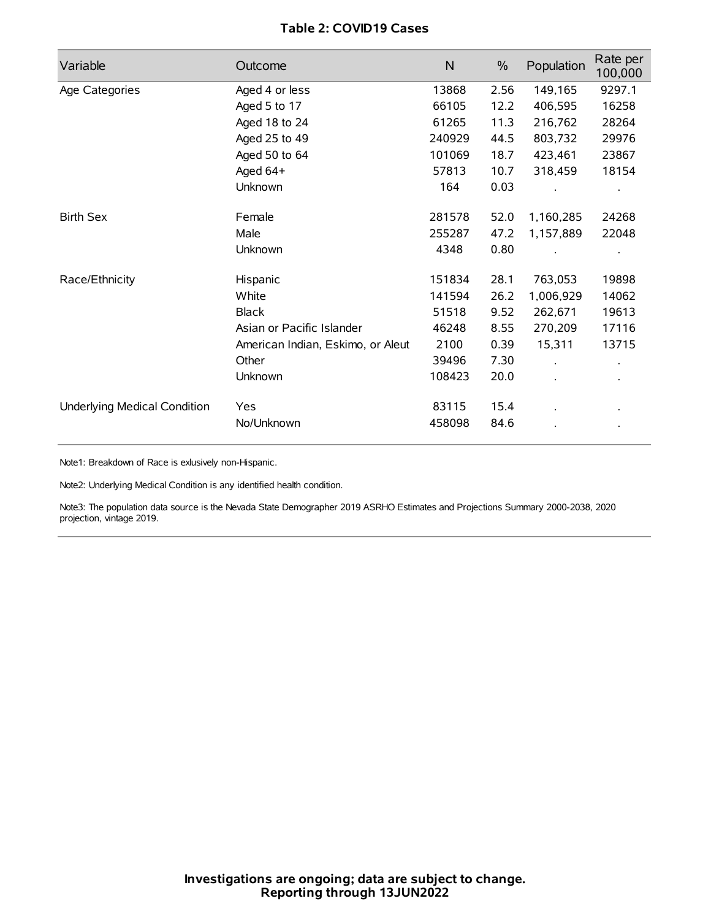# **Table 2: COVID19 Cases**

| Variable                     | Outcome                           | N      | $\frac{0}{0}$ | Population           | Rate per<br>100,000  |
|------------------------------|-----------------------------------|--------|---------------|----------------------|----------------------|
| Age Categories               | Aged 4 or less                    | 13868  | 2.56          | 149,165              | 9297.1               |
|                              | Aged 5 to 17                      | 66105  | 12.2          | 406,595              | 16258                |
|                              | Aged 18 to 24                     | 61265  | 11.3          | 216,762              | 28264                |
|                              | Aged 25 to 49                     | 240929 | 44.5          | 803,732              | 29976                |
|                              | Aged 50 to 64                     | 101069 | 18.7          | 423,461              | 23867                |
|                              | Aged 64+                          | 57813  | 10.7          | 318,459              | 18154                |
|                              | Unknown                           | 164    | 0.03          |                      |                      |
| <b>Birth Sex</b>             | Female                            | 281578 | 52.0          | 1,160,285            | 24268                |
|                              | Male                              | 255287 | 47.2          | 1,157,889            | 22048                |
|                              | Unknown                           | 4348   | 0.80          |                      |                      |
| Race/Ethnicity               | Hispanic                          | 151834 | 28.1          | 763,053              | 19898                |
|                              | White                             | 141594 | 26.2          | 1,006,929            | 14062                |
|                              | <b>Black</b>                      | 51518  | 9.52          | 262,671              | 19613                |
|                              | Asian or Pacific Islander         | 46248  | 8.55          | 270,209              | 17116                |
|                              | American Indian, Eskimo, or Aleut | 2100   | 0.39          | 15,311               | 13715                |
|                              | Other                             | 39496  | 7.30          | $\ddot{\phantom{a}}$ | $\ddot{\phantom{0}}$ |
|                              | Unknown                           | 108423 | 20.0          | ÷.                   |                      |
| Underlying Medical Condition | Yes                               | 83115  | 15.4          |                      |                      |
|                              | No/Unknown                        | 458098 | 84.6          |                      |                      |

Note1: Breakdown of Race is exlusively non-Hispanic.

Note2: Underlying Medical Condition is any identified health condition.

Note3: The population data source is the Nevada State Demographer 2019 ASRHO Estimates and Projections Summary 2000-2038, 2020 projection, vintage 2019.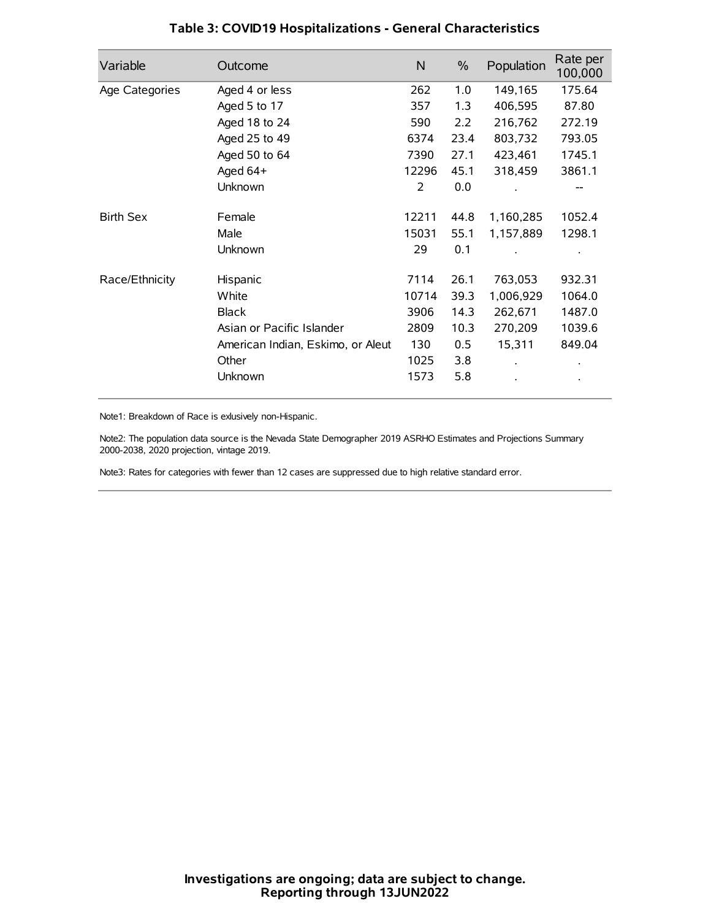| Variable         | Outcome                           | $\mathsf{N}$ | $\%$ | Population | Rate per<br>100,000 |
|------------------|-----------------------------------|--------------|------|------------|---------------------|
| Age Categories   | Aged 4 or less                    | 262          | 1.0  | 149,165    | 175.64              |
|                  | Aged 5 to 17                      | 357          | 1.3  | 406,595    | 87.80               |
|                  | Aged 18 to 24                     | 590          | 2.2  | 216,762    | 272.19              |
|                  | Aged 25 to 49                     | 6374         | 23.4 | 803,732    | 793.05              |
|                  | Aged 50 to 64                     | 7390         | 27.1 | 423,461    | 1745.1              |
|                  | Aged 64+                          | 12296        | 45.1 | 318,459    | 3861.1              |
|                  | Unknown                           | 2            | 0.0  |            |                     |
| <b>Birth Sex</b> | Female                            | 12211        | 44.8 | 1,160,285  | 1052.4              |
|                  | Male                              | 15031        | 55.1 | 1,157,889  | 1298.1              |
|                  | Unknown                           | 29           | 0.1  |            |                     |
| Race/Ethnicity   | Hispanic                          | 7114         | 26.1 | 763,053    | 932.31              |
|                  | White                             | 10714        | 39.3 | 1,006,929  | 1064.0              |
|                  | <b>Black</b>                      | 3906         | 14.3 | 262,671    | 1487.0              |
|                  | Asian or Pacific Islander         | 2809         | 10.3 | 270,209    | 1039.6              |
|                  | American Indian, Eskimo, or Aleut | 130          | 0.5  | 15,311     | 849.04              |
|                  | Other                             | 1025         | 3.8  |            |                     |
|                  | Unknown                           | 1573         | 5.8  |            |                     |

# **Table 3: COVID19 Hospitalizations - General Characteristics**

Note1: Breakdown of Race is exlusively non-Hispanic.

Note2: The population data source is the Nevada State Demographer 2019 ASRHO Estimates and Projections Summary 2000-2038, 2020 projection, vintage 2019.

Note3: Rates for categories with fewer than 12 cases are suppressed due to high relative standard error.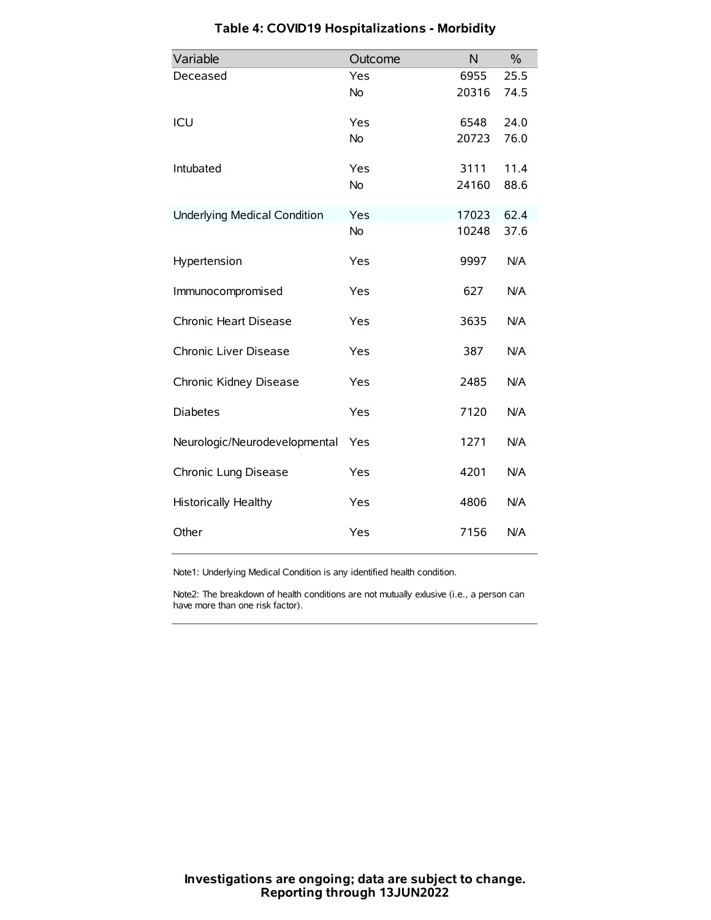| Variable                            | Outcome   | N     | $\%$ |
|-------------------------------------|-----------|-------|------|
| Deceased                            | Yes       | 6955  | 25.5 |
|                                     | No        | 20316 | 74.5 |
| ICU                                 | Yes       | 6548  | 24.0 |
|                                     | <b>No</b> | 20723 | 76.0 |
| Intubated                           | Yes       | 3111  | 11.4 |
|                                     | No        | 24160 | 88.6 |
| <b>Underlying Medical Condition</b> | Yes       | 17023 | 62.4 |
|                                     | <b>No</b> | 10248 | 37.6 |
| Hypertension                        | Yes       | 9997  | N/A  |
| Immunocompromised                   | Yes       | 627   | N/A  |
| Chronic Heart Disease               | Yes       | 3635  | N/A  |
| Chronic Liver Disease               | Yes       | 387   | N/A  |
| Chronic Kidney Disease              | Yes       | 2485  | N/A  |
| <b>Diabetes</b>                     | Yes       | 7120  | N/A  |
| Neurologic/Neurodevelopmental       | Yes       | 1271  | N/A  |
| Chronic Lung Disease                | Yes       | 4201  | N/A  |
| Historically Healthy                | Yes       | 4806  | N/A  |
| Other                               | Yes       | 7156  | N/A  |

# **Table 4: COVID19 Hospitalizations - Morbidity**

Note1: Underlying Medical Condition is any identified health condition.

Note2: The breakdown of health conditions are not mutually exlusive (i.e., a person can have more than one risk factor).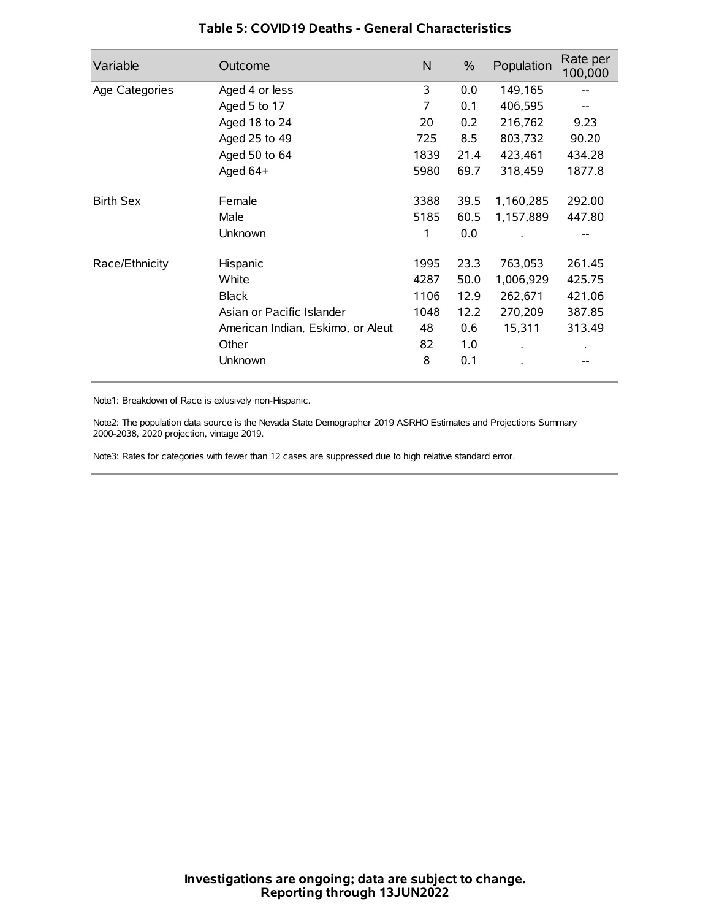| Variable         | Outcome                           | N    | $\frac{0}{0}$ | Population | Rate per<br>100,000 |
|------------------|-----------------------------------|------|---------------|------------|---------------------|
| Age Categories   | Aged 4 or less                    | 3    | 0.0           | 149,165    |                     |
|                  | Aged 5 to 17                      | 7    | 0.1           | 406,595    |                     |
|                  | Aged 18 to 24                     | 20   | 0.2           | 216,762    | 9.23                |
|                  | Aged 25 to 49                     | 725  | 8.5           | 803,732    | 90.20               |
|                  | Aged 50 to 64                     | 1839 | 21.4          | 423,461    | 434.28              |
|                  | Aged $64+$                        | 5980 | 69.7          | 318,459    | 1877.8              |
| <b>Birth Sex</b> | Female                            | 3388 | 39.5          | 1,160,285  | 292.00              |
|                  | Male                              | 5185 | 60.5          | 1,157,889  | 447.80              |
|                  | Unknown                           | 1    | 0.0           |            |                     |
| Race/Ethnicity   | Hispanic                          | 1995 | 23.3          | 763,053    | 261.45              |
|                  | White                             | 4287 | 50.0          | 1,006,929  | 425.75              |
|                  | <b>Black</b>                      | 1106 | 12.9          | 262,671    | 421.06              |
|                  | Asian or Pacific Islander         | 1048 | 12.2          | 270,209    | 387.85              |
|                  | American Indian, Eskimo, or Aleut | 48   | 0.6           | 15,311     | 313.49              |
|                  | Other                             | 82   | 1.0           |            |                     |
|                  | Unknown                           | 8    | 0.1           |            |                     |

## **Table 5: COVID19 Deaths - General Characteristics**

Note1: Breakdown of Race is exlusively non-Hispanic.

Note2: The population data source is the Nevada State Demographer 2019 ASRHO Estimates and Projections Summary 2000-2038, 2020 projection, vintage 2019.

Note3: Rates for categories with fewer than 12 cases are suppressed due to high relative standard error.